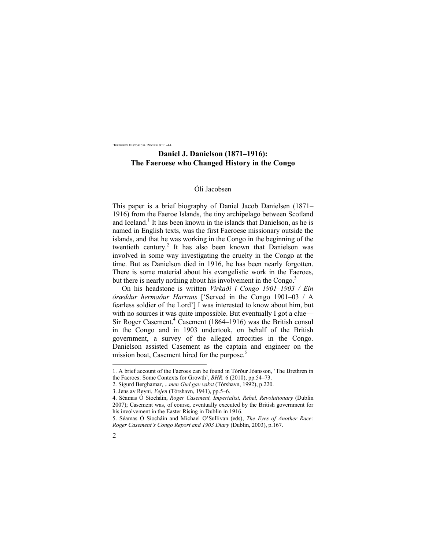BRETHREN HISTORICAL REVIEW 8:11-44

# **Daniel J. Danielson (1871***–***1916): The Faeroese who Changed History in the Congo**

# Óli Jacobsen

This paper is a brief biography of Daniel Jacob Danielsen (1871*–* 1916) from the Faeroe Islands, the tiny archipelago between Scotland and Iceland.<sup>1</sup> It has been known in the islands that Danielson, as he is named in English texts, was the first Faeroese missionary outside the islands, and that he was working in the Congo in the beginning of the twentieth century. 2 It has also been known that Danielson was involved in some way investigating the cruelty in the Congo at the time. But as Danielson died in 1916, he has been nearly forgotten. There is some material about his evangelistic work in the Faeroes, but there is nearly nothing about his involvement in the Congo.<sup>3</sup>

On his headstone is written *Virkaði i Congo 1901–1903 / Ein óræddur hermaður Harrans* ['Served in the Congo 1901*–*03 / A fearless soldier of the Lord'] I was interested to know about him, but with no sources it was quite impossible. But eventually I got a clue— Sir Roger Casement.<sup>4</sup> Casement (1864–1916) was the British consul in the Congo and in 1903 undertook, on behalf of the British government, a survey of the alleged atrocities in the Congo. Danielson assisted Casement as the captain and engineer on the mission boat, Casement hired for the purpose.<sup>5</sup>

<sup>5.</sup> Séamas Ó Síocháin and Michael O'Sullivan (eds), *The Eyes of Another Race: Roger Casement's Congo Report and 1903 Diary* (Dublin, 2003), p.167.



<sup>1.</sup> A brief account of the Faeroes can be found in Tórður Jóansson, 'The Brethren in the Faeroes: Some Contexts for Growth', *BHR,* 6 (2010), pp.54–73.

<sup>2.</sup> Sigurd Berghamar, ..*.men Gud gav vøkst* (Tórshavn, 1992), p.220.

<sup>3.</sup> Jens av Reyni, *Vejen* (Tórshavn, 1941), pp.5–6.

<sup>4.</sup> Séamas Ó Síocháin, *Roger Casement, Imperialist, Rebel, Revolutionary* (Dublin 2007); Casement was, of course, eventually executed by the British government for his involvement in the Easter Rising in Dublin in 1916.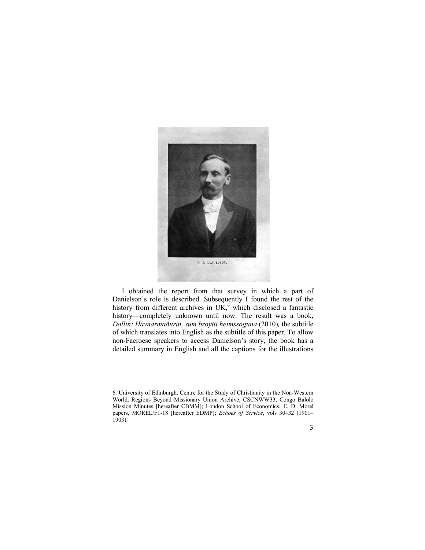

I obtained the report from that survey in which a part of Danielson's role is described. Subsequently I found the rest of the history from different archives in UK, $<sup>6</sup>$  which disclosed a fantastic</sup> history—completely unknown until now. The result was a book, *Dollin: Havnarmaðurin, sum broytti heimssøguna* (2010)*,* the subtitle of which translates into English as the subtitle of this paper. To allow non-Faeroese speakers to access Danielson's story, the book has a detailed summary in English and all the captions for the illustrations



<sup>6.</sup> University of Edinburgh, Centre for the Study of Christianity in the Non-Western World, Regions Beyond Missionary Union Archive, CSCNWW33, Congo Balolo Mission Minutes [hereafter CBMM]; London School of Economics, E. D. Morel papers, MOREL/F1-18 [hereafter EDMP]; *Echoes of Service*, vols 30–32 (1901– 1903).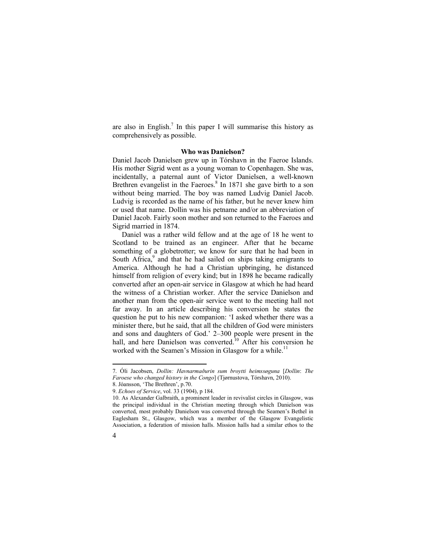are also in English.<sup>7</sup> In this paper I will summarise this history as comprehensively as possible.

#### **Who was Danielson?**

Daniel Jacob Danielsen grew up in Tórshavn in the Faeroe Islands. His mother Sigrid went as a young woman to Copenhagen. She was, incidentally, a paternal aunt of Victor Danielsen, a well-known Brethren evangelist in the Faeroes.<sup>8</sup> In 1871 she gave birth to a son without being married. The boy was named Ludvig Daniel Jacob. Ludvig is recorded as the name of his father, but he never knew him or used that name. Dollin was his petname and/or an abbreviation of Daniel Jacob. Fairly soon mother and son returned to the Faeroes and Sigrid married in 1874.

Daniel was a rather wild fellow and at the age of 18 he went to Scotland to be trained as an engineer. After that he became something of a globetrotter; we know for sure that he had been in South Africa,<sup>9</sup> and that he had sailed on ships taking emigrants to America. Although he had a Christian upbringing, he distanced himself from religion of every kind; but in 1898 he became radically converted after an open-air service in Glasgow at which he had heard the witness of a Christian worker. After the service Danielson and another man from the open-air service went to the meeting hall not far away. In an article describing his conversion he states the question he put to his new companion: 'I asked whether there was a minister there, but he said, that all the children of God were ministers and sons and daughters of God.' 2–300 people were present in the hall, and here Danielson was converted.<sup>10</sup> After his conversion he worked with the Seamen's Mission in Glasgow for a while.<sup>11</sup>

<sup>10.</sup> As Alexander Galbraith, a prominent leader in revivalist circles in Glasgow, was the principal individual in the Christian meeting through which Danielson was converted, most probably Danielson was converted through the Seamen's Bethel in Eaglesham St., Glasgow, which was a member of the Glasgow Evangelistic Association, a federation of mission halls. Mission halls had a similar ethos to the



<sup>7.</sup> Óli Jacobsen, *Dollin: Havnarmaðurin sum broytti heimssøguna* [*Dollin*: *The Faroese who changed history in the Congo*] (Tjørnustova, Tórshavn, 2010). 8. Jóansson, 'The Brethren', p.70.

<sup>9.</sup> *Echoes of Service*, vol. 33 (1904), p 184.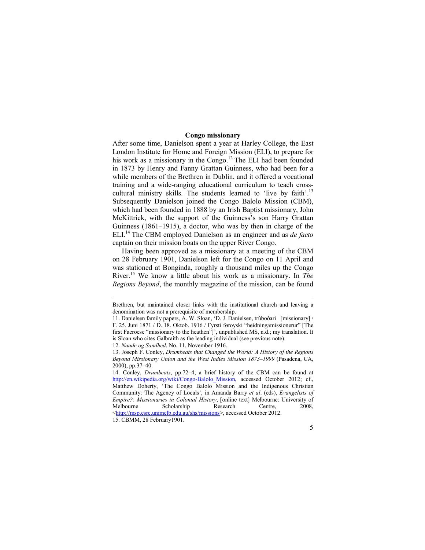# **Congo missionary**

After some time, Danielson spent a year at Harley College, the East London Institute for Home and Foreign Mission (ELI), to prepare for his work as a missionary in the Congo.<sup>12</sup> The ELI had been founded in 1873 by Henry and Fanny Grattan Guinness, who had been for a while members of the Brethren in Dublin, and it offered a vocational training and a wide-ranging educational curriculum to teach crosscultural ministry skills. The students learned to 'live by faith'.<sup>13</sup> Subsequently Danielson joined the Congo Balolo Mission (CBM), which had been founded in 1888 by an Irish Baptist missionary, John McKittrick, with the support of the Guinness's son Harry Grattan Guinness (1861–1915), a doctor, who was by then in charge of the ELI.<sup>14</sup>The CBM employed Danielson as an engineer and as *de facto* captain on their mission boats on the upper River Congo.

Having been approved as a missionary at a meeting of the CBM on 28 February 1901, Danielson left for the Congo on 11 April and was stationed at Bonginda, roughly a thousand miles up the Congo River.<sup>15</sup> We know a little about his work as a missionary. In *The Regions Beyond*, the monthly magazine of the mission, can be found

12. *Naade og Sandhed*, No. 11, November 1916.

Brethren, but maintained closer links with the institutional church and leaving a denomination was not a prerequisite of membership.

<sup>11.</sup> Danielsen family papers, A. W. Sloan, 'D. J. Danielsen, trúboðari [missionary] / F. 25. Juni 1871 / D. 18. Oktob. 1916 / Fyrsti føroyski "heidningamissionerur" [The first Faeroese "missionary to the heathen"]', unpublished MS, n.d.; my translation. It is Sloan who cites Galbraith as the leading individual (see previous note).

<sup>13.</sup> Joseph F. Conley, *Drumbeats that Changed the World: A History of the Regions Beyond Missionary Union and the West Indies Mission 1873*–*1999* (Pasadena, CA, 2000), pp.37–40.

<sup>14.</sup> Conley, *Drumbeats*, pp.72–4; a brief history of the CBM can be found at [http://en.wikipedia.org/wiki/Congo-Balolo\\_Mission,](http://en.wikipedia.org/wiki/Congo-Balolo_Mission) accessed October 2012; cf., Matthew Doherty, 'The Congo Balolo Mission and the Indigenous Christian Community: The Agency of Locals', in Amanda Barry *et al*. (eds), *Evangelists of Empire?: Missionaries in Colonial History*, [online text] Melbourne: University of Melbourne Scholarship Research Centre, 2008, <[http://msp.esrc.unimelb.edu.au/shs/missions>](http://msp.esrc.unimelb.edu.au/shs/missions), accessed October 2012. 15. CBMM, 28 February1901.

<sup>5</sup>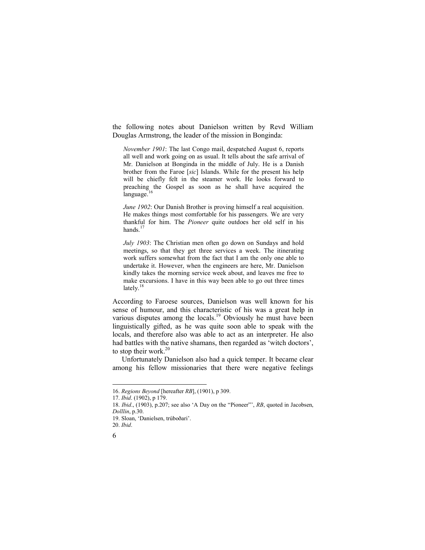the following notes about Danielson written by Revd William Douglas Armstrong, the leader of the mission in Bonginda:

*November 1901*: The last Congo mail, despatched August 6, reports all well and work going on as usual. It tells about the safe arrival of Mr. Danielson at Bonginda in the middle of July. He is a Danish brother from the Faroe [*sic*] Islands. While for the present his help will be chiefly felt in the steamer work. He looks forward to preaching the Gospel as soon as he shall have acquired the language. 16

*June 1902*: Our Danish Brother is proving himself a real acquisition. He makes things most comfortable for his passengers. We are very thankful for him. The *Pioneer* quite outdoes her old self in his hands.<sup>17</sup>

*July 1903*: The Christian men often go down on Sundays and hold meetings, so that they get three services a week. The itinerating work suffers somewhat from the fact that I am the only one able to undertake it. However, when the engineers are here, Mr. Danielson kindly takes the morning service week about, and leaves me free to make excursions. I have in this way been able to go out three times lately.<sup>18</sup>

According to Faroese sources, Danielson was well known for his sense of humour, and this characteristic of his was a great help in various disputes among the locals.<sup>19</sup> Obviously he must have been linguistically gifted, as he was quite soon able to speak with the locals, and therefore also was able to act as an interpreter. He also had battles with the native shamans, then regarded as 'witch doctors', to stop their work.<sup>20</sup>

Unfortunately Danielson also had a quick temper. It became clear among his fellow missionaries that there were negative feelings

<sup>20.</sup> *Ibid*.



<sup>16.</sup> *Regions Beyond* [hereafter *RB*], (1901), p 309.

<sup>17.</sup> *Ibid*. (1902), p 179.

<sup>18.</sup> *Ibid*., (1903), p.207; see also 'A Day on the "Pioneer"', *RB*, quoted in Jacobsen, *Dolllin*, p.30.

<sup>19.</sup> Sloan, 'Danielsen, trúboðari'.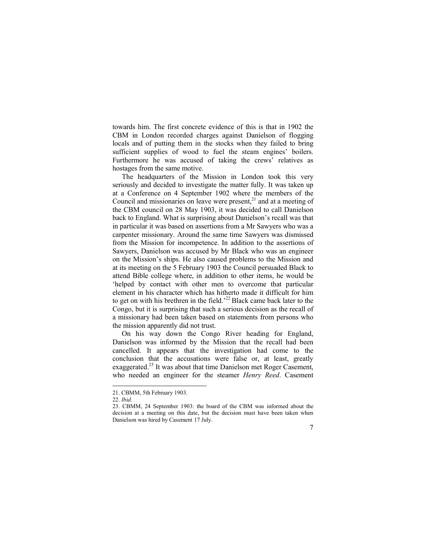towards him. The first concrete evidence of this is that in 1902 the CBM in London recorded charges against Danielson of flogging locals and of putting them in the stocks when they failed to bring sufficient supplies of wood to fuel the steam engines' boilers. Furthermore he was accused of taking the crews' relatives as hostages from the same motive.

The headquarters of the Mission in London took this very seriously and decided to investigate the matter fully. It was taken up at a Conference on 4 September 1902 where the members of the Council and missionaries on leave were present, $^{21}$  and at a meeting of the CBM council on 28 May 1903, it was decided to call Danielson back to England. What is surprising about Danielson's recall was that in particular it was based on assertions from a Mr Sawyers who was a carpenter missionary. Around the same time Sawyers was dismissed from the Mission for incompetence. In addition to the assertions of Sawyers, Danielson was accused by Mr Black who was an engineer on the Mission's ships. He also caused problems to the Mission and at its meeting on the 5 February 1903 the Council persuaded Black to attend Bible college where, in addition to other items, he would be 'helped by contact with other men to overcome that particular element in his character which has hitherto made it difficult for him the get on with his brethren in the field.<sup>22</sup>Black came back later to the Congo, but it is surprising that such a serious decision as the recall of a missionary had been taken based on statements from persons who the mission apparently did not trust.

On his way down the Congo River heading for England, Danielson was informed by the Mission that the recall had been cancelled. It appears that the investigation had come to the conclusion that the accusations were false or, at least, greatly exaggerated.<sup>23</sup> It was about that time Danielson met Roger Casement, who needed an engineer for the steamer *Henry Reed*. Casement

<sup>23.</sup> CBMM, 24 September 1903: the board of the CBM was informed about the decision at a meeting on this date, but the decision must have been taken when Danielson was hired by Casement 17 July.



<sup>21.</sup> CBMM, 5th February 1903.

<sup>22.</sup> *Ibid*.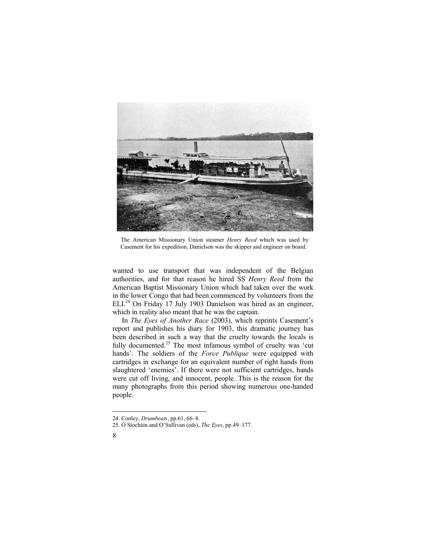

The American Missionary Union steamer *Henry Reed* which was used by Casement for his expedition. Danielson was the skipper and engineer on board.

wanted to use transport that was independent of the Belgian authorities, and for that reason he hired SS *Henry Reed* from the American Baptist Missionary Union which had taken over the work in the lower Congo that had been commenced by volunteers from the ELI.<sup>24</sup> On Friday 17 July 1903 Danielson was hired as an engineer, which in reality also meant that he was the captain.

In *The Eyes of Another Race* (2003), which reprints Casement's report and publishes his diary for 1903, this dramatic journey has been described in such a way that the cruelty towards the locals is fully documented.<sup>25</sup> The most infamous symbol of cruelty was 'cut hands'. The soldiers of the *Force Publique* were equipped with cartridges in exchange for an equivalent number of right hands from slaughtered 'enemies'. If there were not sufficient cartridges, hands were cut off living, and innocent, people. This is the reason for the many photographs from this period showing numerous one-handed people.

<sup>25.</sup> Ó Síocháin and O'Sullivan (eds), *The Eyes*, pp.49–177.



<sup>24.</sup> Conley, *Drumbeats*, pp.61, 66–8.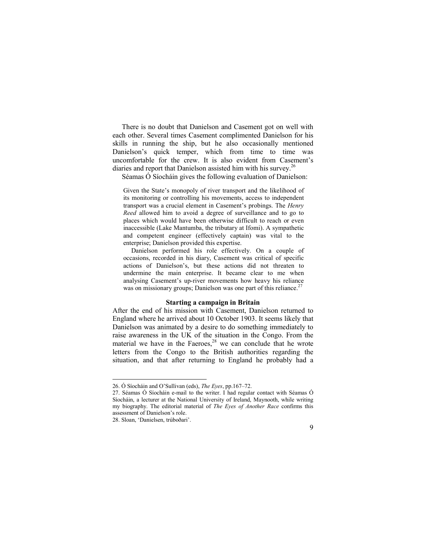There is no doubt that Danielson and Casement got on well with each other. Several times Casement complimented Danielson for his skills in running the ship, but he also occasionally mentioned Danielson's quick temper, which from time to time was uncomfortable for the crew. It is also evident from Casement's diaries and report that Danielson assisted him with his survey.<sup>26</sup>

Séamas Ó Síocháin gives the following evaluation of Danielson:

Given the State's monopoly of river transport and the likelihood of its monitoring or controlling his movements, access to independent transport was a crucial element in Casement's probings. The *Henry Reed* allowed him to avoid a degree of surveillance and to go to places which would have been otherwise difficult to reach or even inaccessible (Lake Mantumba, the tributary at Ifomi). A sympathetic and competent engineer (effectively captain) was vital to the enterprise; Danielson provided this expertise.

Danielson performed his role effectively. On a couple of occasions, recorded in his diary, Casement was critical of specific actions of Danielson's, but these actions did not threaten to undermine the main enterprise. It became clear to me when analysing Casement's up-river movements how heavy his reliance was on missionary groups; Danielson was one part of this reliance.<sup>27</sup>

### **Starting a campaign in Britain**

After the end of his mission with Casement, Danielson returned to England where he arrived about 10 October 1903. It seems likely that Danielson was animated by a desire to do something immediately to raise awareness in the UK of the situation in the Congo. From the material we have in the Faeroes, $28$  we can conclude that he wrote letters from the Congo to the British authorities regarding the situation, and that after returning to England he probably had a



<sup>26.</sup> Ó Síocháin and O'Sullivan (eds), *The Eyes*, pp.167–72.

<sup>27.</sup> Séamas Ó Síocháin e-mail to the writer. I had regular contact with Séamas Ó Síocháin, a lecturer at the National University of Ireland, Maynooth, while writing my biography. The editorial material of *The Eyes of Another Race* confirms this assessment of Danielson's role.

<sup>28.</sup> Sloan, 'Danielsen, trúboðari'.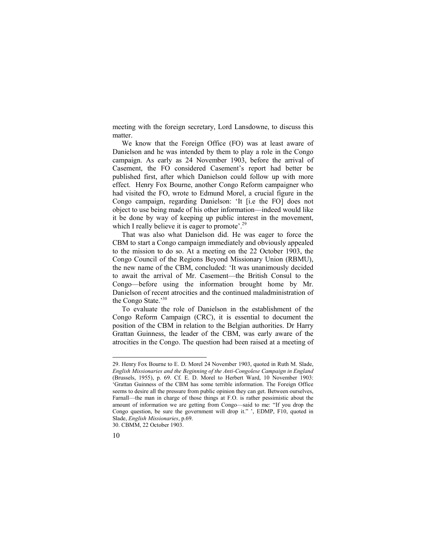meeting with the foreign secretary, Lord Lansdowne, to discuss this matter.

We know that the Foreign Office (FO) was at least aware of Danielson and he was intended by them to play a role in the Congo campaign. As early as 24 November 1903, before the arrival of Casement, the FO considered Casement's report had better be published first, after which Danielson could follow up with more effect. Henry Fox Bourne, another Congo Reform campaigner who had visited the FO, wrote to Edmund Morel, a crucial figure in the Congo campaign, regarding Danielson: 'It [i.e the FO] does not object to use being made of his other information—indeed would like it be done by way of keeping up public interest in the movement, which I really believe it is eager to promote'.<sup>29</sup>

That was also what Danielson did. He was eager to force the CBM to start a Congo campaign immediately and obviously appealed to the mission to do so. At a meeting on the 22 October 1903, the Congo Council of the Regions Beyond Missionary Union (RBMU), the new name of the CBM, concluded: 'It was unanimously decided to await the arrival of Mr. Casement—the British Consul to the Congo—before using the information brought home by Mr. Danielson of recent atrocities and the continued maladministration of the Congo State.'<sup>30</sup>

To evaluate the role of Danielson in the establishment of the Congo Reform Campaign (CRC), it is essential to document the position of the CBM in relation to the Belgian authorities. Dr Harry Grattan Guinness, the leader of the CBM, was early aware of the atrocities in the Congo. The question had been raised at a meeting of

<sup>30.</sup> CBMM, 22 October 1903.



<sup>29.</sup> Henry Fox Bourne to E. D. Morel 24 November 1903, quoted in Ruth M. Slade, *English Missionaries and the Beginning of the Anti-Congolese Campaign in England*  (Brussels, 1955), p. 69. Cf. E. D. Morel to Herbert Ward, 10 November 1903: 'Grattan Guinness of the CBM has some terrible information. The Foreign Office seems to desire all the pressure from public opinion they can get. Between ourselves, Farnall—the man in charge of those things at F.O. is rather pessimistic about the amount of information we are getting from Congo—said to me: "If you drop the Congo question, be sure the government will drop it." ', EDMP, F10, quoted in Slade, *English Missionaries*, p.69.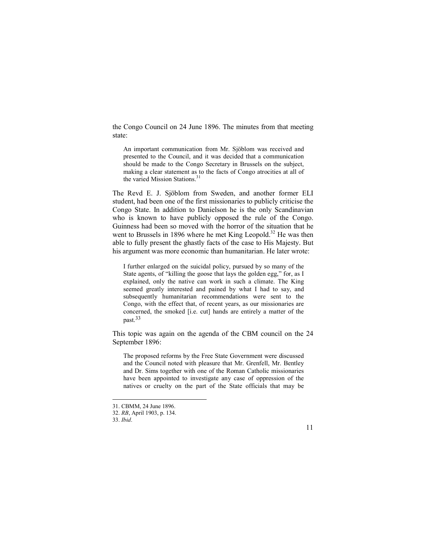the Congo Council on 24 June 1896. The minutes from that meeting state:

An important communication from Mr. Sjöblom was received and presented to the Council, and it was decided that a communication should be made to the Congo Secretary in Brussels on the subject, making a clear statement as to the facts of Congo atrocities at all of the varied Mission Stations. 31

The Revd E. J. Sjöblom from Sweden, and another former ELI student, had been one of the first missionaries to publicly criticise the Congo State. In addition to Danielson he is the only Scandinavian who is known to have publicly opposed the rule of the Congo. Guinness had been so moved with the horror of the situation that he went to Brussels in 1896 where he met King Leopold.<sup>32</sup> He was then able to fully present the ghastly facts of the case to His Majesty. But his argument was more economic than humanitarian. He later wrote:

I further enlarged on the suicidal policy, pursued by so many of the State agents, of "killing the goose that lays the golden egg," for, as I explained, only the native can work in such a climate. The King seemed greatly interested and pained by what I had to say, and subsequently humanitarian recommendations were sent to the Congo, with the effect that, of recent years, as our missionaries are concerned, the smoked [i.e. cut] hands are entirely a matter of the past.33

This topic was again on the agenda of the CBM council on the 24 September 1896:

The proposed reforms by the Free State Government were discussed and the Council noted with pleasure that Mr. Grenfell, Mr. Bentley and Dr. Sims together with one of the Roman Catholic missionaries have been appointed to investigate any case of oppression of the natives or cruelty on the part of the State officials that may be

l

11

<sup>31.</sup> CBMM, 24 June 1896.

<sup>32.</sup> *RB*, April 1903, p. 134.

<sup>33.</sup> *Ibid*.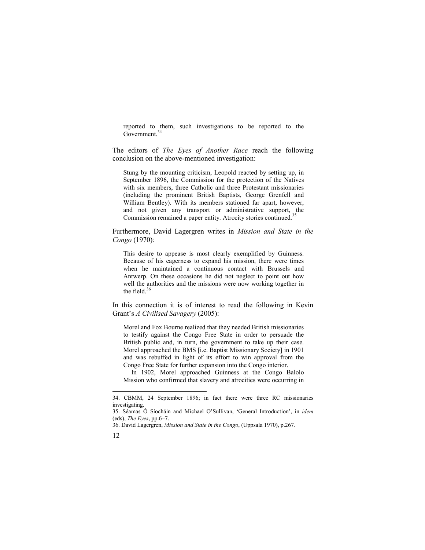reported to them, such investigations to be reported to the Government.<sup>34</sup>

The editors of *The Eyes of Another Race* reach the following conclusion on the above-mentioned investigation:

Stung by the mounting criticism, Leopold reacted by setting up, in September 1896, the Commission for the protection of the Natives with six members, three Catholic and three Protestant missionaries (including the prominent British Baptists, George Grenfell and William Bentley). With its members stationed far apart, however, and not given any transport or administrative support, the Commission remained a paper entity. Atrocity stories continued.<sup>35</sup>

Furthermore, David Lagergren writes in *Mission and State in the Congo* (1970):

This desire to appease is most clearly exemplified by Guinness. Because of his eagerness to expand his mission, there were times when he maintained a continuous contact with Brussels and Antwerp. On these occasions he did not neglect to point out how well the authorities and the missions were now working together in the field. $36$ 

In this connection it is of interest to read the following in Kevin Grant's *A Civilised Savagery* (2005):

Morel and Fox Bourne realized that they needed British missionaries to testify against the Congo Free State in order to persuade the British public and, in turn, the government to take up their case. Morel approached the BMS [i.e. Baptist Missionary Society] in 1901 and was rebuffed in light of its effort to win approval from the Congo Free State for further expansion into the Congo interior.

In 1902, Morel approached Guinness at the Congo Balolo Mission who confirmed that slavery and atrocities were occurring in

<sup>36.</sup> David Lagergren, *Mission and State in the Congo*, (Uppsala 1970), p.267.



<sup>34.</sup> CBMM, 24 September 1896; in fact there were three RC missionaries investigating.

<sup>35.</sup> Séamas Ó Síocháin and Michael O'Sullivan, 'General Introduction', in *idem* (eds), *The Eyes*, pp.6–7.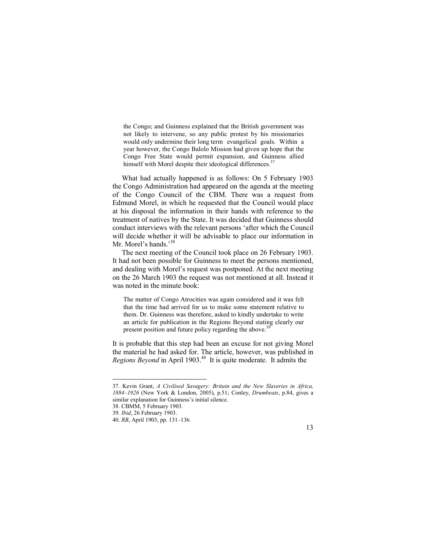the Congo; and Guinness explained that the British government was not likely to intervene, so any public protest by his missionaries would only undermine their long term evangelical goals. Within a year however, the Congo Balolo Mission had given up hope that the Congo Free State would permit expansion, and Guinness allied himself with Morel despite their ideological differences.<sup>37</sup>

What had actually happened is as follows: On 5 February 1903 the Congo Administration had appeared on the agenda at the meeting of the Congo Council of the CBM. There was a request from Edmund Morel, in which he requested that the Council would place at his disposal the information in their hands with reference to the treatment of natives by the State. It was decided that Guinness should conduct interviews with the relevant persons 'after which the Council will decide whether it will be advisable to place our information in Mr. Morel's hands.'<sup>38</sup>

The next meeting of the Council took place on 26 February 1903. It had not been possible for Guinness to meet the persons mentioned, and dealing with Morel's request was postponed. At the next meeting on the 26 March 1903 the request was not mentioned at all. Instead it was noted in the minute book:

The matter of Congo Atrocities was again considered and it was felt that the time had arrived for us to make some statement relative to them. Dr. Guinness was therefore, asked to kindly undertake to write an article for publication in the Regions Beyond stating clearly our present position and future policy regarding the above.<sup>39</sup>

It is probable that this step had been an excuse for not giving Morel the material he had asked for. The article, however, was published in *Regions Beyond* in April 1903.<sup>40</sup> It is quite moderate. It admits the



<sup>37.</sup> Kevin Grant, *A Civilised Savagery: Britain and the New Slaveries in Africa, 1884–1926* (New York & London, 2005), p.51; Conley, *Drumbeats*, p.84, gives a similar explanation for Guinness's initial silence.

<sup>38.</sup> CBMM, 5 February 1903.

<sup>39.</sup> *Ibid*, 26 February 1903.

<sup>40.</sup> *RB*, April 1903, pp. 131–136.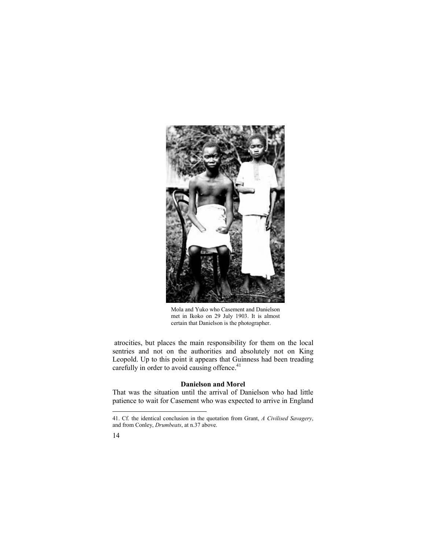

Mola and Yuko who Casement and Danielson met in Ikoko on 29 July 1903. It is almost certain that Danielson is the photographer.

atrocities, but places the main responsibility for them on the local sentries and not on the authorities and absolutely not on King Leopold. Up to this point it appears that Guinness had been treading carefully in order to avoid causing offence.<sup>41</sup>

# **Danielson and Morel**

That was the situation until the arrival of Danielson who had little patience to wait for Casement who was expected to arrive in England

<sup>41.</sup> Cf. the identical conclusion in the quotation from Grant, *A Civilised Savagery*, and from Conley, *Drumbeats*, at n.37 above.

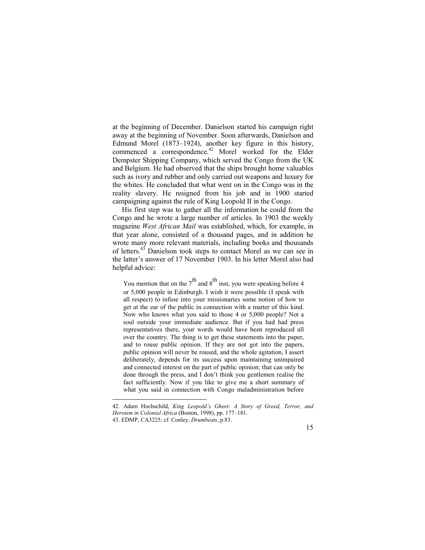at the beginning of December. Danielson started his campaign right away at the beginning of November. Soon afterwards, Danielson and Edmund Morel (1873–1924), another key figure in this history, commenced a correspondence.<sup>42</sup> Morel worked for the Elder Dempster Shipping Company, which served the Congo from the UK and Belgium. He had observed that the ships brought home valuables such as ivory and rubber and only carried out weapons and luxury for the whites. He concluded that what went on in the Congo was in the reality slavery. He resigned from his job and in 1900 started campaigning against the rule of King Leopold II in the Congo.

His first step was to gather all the information he could from the Congo and he wrote a large number of articles. In 1903 the weekly magazine *West African Mail* was established, which, for example, in that year alone, consisted of a thousand pages, and in addition he wrote many more relevant materials, including books and thousands of letters.<sup>43</sup> Danielson took steps to contact Morel as we can see in the latter's answer of 17 November 1903. In his letter Morel also had helpful advice:

You mention that on the  $7<sup>th</sup>$  and  $8<sup>th</sup>$  inst, you were speaking before 4 or 5,000 people in Edinburgh. I wish it were possible (I speak with all respect) to infuse into your missionaries some notion of how to get at the ear of the public in connection with a matter of this kind. Now who knows what you said to those 4 or 5,000 people? Not a soul outside your immediate audience. But if you had had press representatives there, your words would have been reproduced all over the country. The thing is to get these statements into the paper, and to rouse public opinion. If they are not got into the papers, public opinion will never be roused, and the whole agitation, I assert deliberately, depends for its success upon maintaining unimpaired and connected interest on the part of public opinion; that can only be done through the press, and I don't think you gentlemen realise the fact sufficiently. Now if you like to give me a short summary of what you said in connection with Congo maladministration before

l

15

<sup>42.</sup> Adam Hochschild, *King Leopold's Ghost: A Story of Greed, Terror, and Heroism in Colonial Africa* (Boston, 1998), pp. 177–181.

<sup>43.</sup> EDMP, CA3225; cf. Conley, *Drumbeats*, p.83.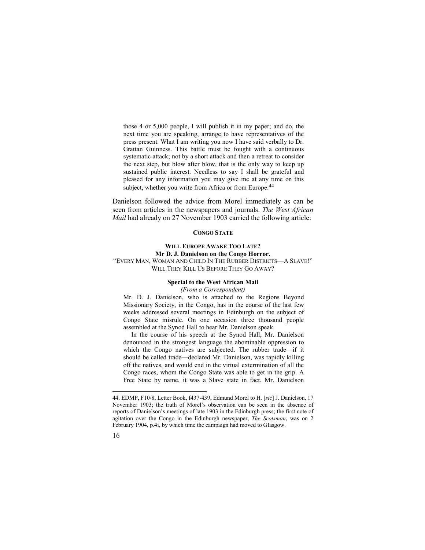those 4 or 5,000 people, I will publish it in my paper; and do, the next time you are speaking, arrange to have representatives of the press present. What I am writing you now I have said verbally to Dr. Grattan Guinness. This battle must be fought with a continuous systematic attack; not by a short attack and then a retreat to consider the next step, but blow after blow, that is the only way to keep up sustained public interest. Needless to say I shall be grateful and pleased for any information you may give me at any time on this subject, whether you write from Africa or from Europe.<sup>44</sup>

Danielson followed the advice from Morel immediately as can be seen from articles in the newspapers and journals. *The West African Mail* had already on 27 November 1903 carried the following article:

# **CONGO STATE**

# **WILL EUROPE AWAKE TOO LATE? Mr D. J. Danielson on the Congo Horror.**  "EVERY MAN, WOMAN AND CHILD IN THE RUBBER DISTRICTS—A SLAVE!" WILL THEY KILL US BEFORE THEY GO AWAY?

# **Special to the West African Mail**

*(From a Correspondent)* 

Mr. D. J. Danielson, who is attached to the Regions Beyond Missionary Society, in the Congo, has in the course of the last few weeks addressed several meetings in Edinburgh on the subject of Congo State misrule. On one occasion three thousand people assembled at the Synod Hall to hear Mr. Danielson speak.

In the course of his speech at the Synod Hall, Mr. Danielson denounced in the strongest language the abominable oppression to which the Congo natives are subjected. The rubber trade—if it should be called trade—declared Mr. Danielson, was rapidly killing off the natives, and would end in the virtual extermination of all the Congo races, whom the Congo State was able to get in the grip. A Free State by name, it was a Slave state in fact. Mr. Danielson

16

<sup>44.</sup> EDMP, F10/8, Letter Book, f437-439, Edmund Morel to H. [*sic*] J. Danielson, 17 November 1903; the truth of Morel's observation can be seen in the absence of reports of Danielson's meetings of late 1903 in the Edinburgh press; the first note of agitation over the Congo in the Edinburgh newspaper, *The Scotsman*, was on 2 February 1904, p.4i, by which time the campaign had moved to Glasgow.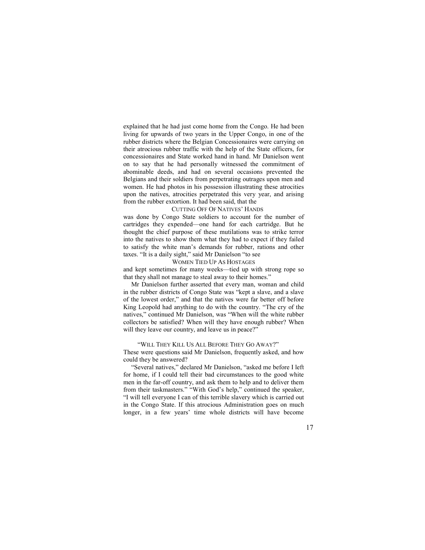explained that he had just come home from the Congo. He had been living for upwards of two years in the Upper Congo, in one of the rubber districts where the Belgian Concessionaires were carrying on their atrocious rubber traffic with the help of the State officers, for concessionaires and State worked hand in hand. Mr Danielson went on to say that he had personally witnessed the commitment of abominable deeds, and had on several occasions prevented the Belgians and their soldiers from perpetrating outrages upon men and women. He had photos in his possession illustrating these atrocities upon the natives, atrocities perpetrated this very year, and arising from the rubber extortion. It had been said, that the

#### CUTTING OFF OF NATIVES' HANDS

was done by Congo State soldiers to account for the number of cartridges they expended—one hand for each cartridge. But he thought the chief purpose of these mutilations was to strike terror into the natives to show them what they had to expect if they failed to satisfy the white man's demands for rubber, rations and other taxes. "It is a daily sight," said Mr Danielson "to see

#### WOMEN TIED UP AS HOSTAGES

and kept sometimes for many weeks—tied up with strong rope so that they shall not manage to steal away to their homes."

Mr Danielson further asserted that every man, woman and child in the rubber districts of Congo State was "kept a slave, and a slave of the lowest order," and that the natives were far better off before King Leopold had anything to do with the country. "The cry of the natives," continued Mr Danielson, was "When will the white rubber collectors be satisfied? When will they have enough rubber? When will they leave our country, and leave us in peace?"

#### "WILL THEY KILL US ALL BEFORE THEY GO AWAY?"

These were questions said Mr Danielson, frequently asked, and how could they be answered?

"Several natives," declared Mr Danielson, "asked me before I left for home, if I could tell their bad circumstances to the good white men in the far-off country, and ask them to help and to deliver them from their taskmasters." "With God's help," continued the speaker, "I will tell everyone I can of this terrible slavery which is carried out in the Congo State. If this atrocious Administration goes on much longer, in a few years' time whole districts will have become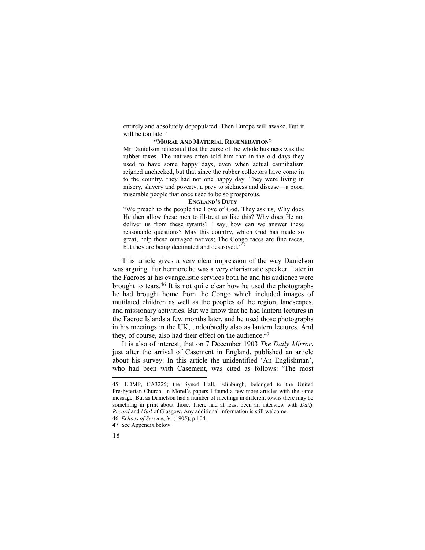entirely and absolutely depopulated. Then Europe will awake. But it will be too late."

## **"MORAL AND MATERIAL REGENERATION"**

Mr Danielson reiterated that the curse of the whole business was the rubber taxes. The natives often told him that in the old days they used to have some happy days, even when actual cannibalism reigned unchecked, but that since the rubber collectors have come in to the country, they had not one happy day. They were living in misery, slavery and poverty, a prey to sickness and disease—a poor, miserable people that once used to be so prosperous.

#### **ENGLAND'S DUTY**

"We preach to the people the Love of God. They ask us, Why does He then allow these men to ill-treat us like this? Why does He not deliver us from these tyrants? I say, how can we answer these reasonable questions? May this country, which God has made so great, help these outraged natives; The Congo races are fine races, but they are being decimated and destroyed."

This article gives a very clear impression of the way Danielson was arguing. Furthermore he was a very charismatic speaker. Later in the Faeroes at his evangelistic services both he and his audience were brought to tears.<sup>46</sup> It is not quite clear how he used the photographs he had brought home from the Congo which included images of mutilated children as well as the peoples of the region, landscapes, and missionary activities. But we know that he had lantern lectures in the Faeroe Islands a few months later, and he used those photographs in his meetings in the UK, undoubtedly also as lantern lectures. And they, of course, also had their effect on the audience.<sup>47</sup>

It is also of interest, that on 7 December 1903 *The Daily Mirror*, just after the arrival of Casement in England, published an article about his survey. In this article the unidentified 'An Englishman', who had been with Casement, was cited as follows: 'The most

<sup>47.</sup> See Appendix below.



<sup>45.</sup> EDMP, CA3225; the Synod Hall, Edinburgh, belonged to the United Presbyterian Church. In Morel's papers I found a few more articles with the same message. But as Danielson had a number of meetings in different towns there may be something in print about those. There had at least been an interview with *Daily Record* and *Mail* of Glasgow. Any additional information is still welcome. 46. *Echoes of Service*, 34 (1905), p.104.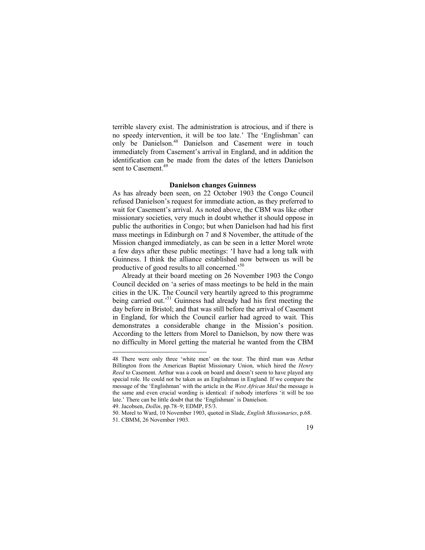terrible slavery exist. The administration is atrocious, and if there is no speedy intervention, it will be too late.' The 'Englishman' can only be Danielson.<sup>48</sup> Danielson and Casement were in touch immediately from Casement's arrival in England, and in addition the identification can be made from the dates of the letters Danielson sent to Casement.<sup>49</sup>

## **Danielson changes Guinness**

As has already been seen, on 22 October 1903 the Congo Council refused Danielson's request for immediate action, as they preferred to wait for Casement's arrival. As noted above, the CBM was like other missionary societies, very much in doubt whether it should oppose in public the authorities in Congo; but when Danielson had had his first mass meetings in Edinburgh on 7 and 8 November, the attitude of the Mission changed immediately, as can be seen in a letter Morel wrote a few days after these public meetings: 'I have had a long talk with Guinness. I think the alliance established now between us will be productive of good results to all concerned.'<sup>50</sup>

Already at their board meeting on 26 November 1903 the Congo Council decided on 'a series of mass meetings to be held in the main cities in the UK. The Council very heartily agreed to this programme being carried out.<sup>51</sup> Guinness had already had his first meeting the day before in Bristol; and that was still before the arrival of Casement in England, for which the Council earlier had agreed to wait. This demonstrates a considerable change in the Mission's position. According to the letters from Morel to Danielson, by now there was no difficulty in Morel getting the material he wanted from the CBM

<sup>48</sup> There were only three 'white men' on the tour. The third man was Arthur Billington from the American Baptist Missionary Union, which hired the *Henry Reed* to Casement. Arthur was a cook on board and doesn't seem to have played any special role. He could not be taken as an Englishman in England. If we compare the message of the 'Englishman' with the article in the *West African Mail* the message is the same and even crucial wording is identical: if nobody interferes 'it will be too late.' There can be little doubt that the 'Englishman' is Danielson.

<sup>49.</sup> Jacobsen, *Dollin*, pp.78–9; EDMP, F5/3.

<sup>50.</sup> Morel to Ward, 10 November 1903, quoted in Slade, *English Missionaries*, p.68. 51. CBMM, 26 November 1903.

<sup>19</sup>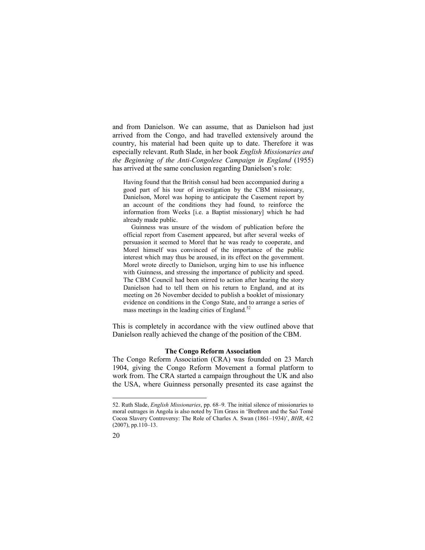and from Danielson. We can assume, that as Danielson had just arrived from the Congo, and had travelled extensively around the country, his material had been quite up to date. Therefore it was especially relevant. Ruth Slade, in her book *English Missionaries and the Beginning of the Anti-Congolese Campaign in England* (1955) has arrived at the same conclusion regarding Danielson's role:

Having found that the British consul had been accompanied during a good part of his tour of investigation by the CBM missionary, Danielson, Morel was hoping to anticipate the Casement report by an account of the conditions they had found, to reinforce the information from Weeks [i.e. a Baptist missionary] which he had already made public.

Guinness was unsure of the wisdom of publication before the official report from Casement appeared, but after several weeks of persuasion it seemed to Morel that he was ready to cooperate, and Morel himself was convinced of the importance of the public interest which may thus be aroused, in its effect on the government. Morel wrote directly to Danielson, urging him to use his influence with Guinness, and stressing the importance of publicity and speed. The CBM Council had been stirred to action after hearing the story Danielson had to tell them on his return to England, and at its meeting on 26 November decided to publish a booklet of missionary evidence on conditions in the Congo State, and to arrange a series of mass meetings in the leading cities of England. $52$ 

This is completely in accordance with the view outlined above that Danielson really achieved the change of the position of the CBM.

## **The Congo Reform Association**

The Congo Reform Association (CRA) was founded on 23 March 1904, giving the Congo Reform Movement a formal platform to work from. The CRA started a campaign throughout the UK and also the USA, where Guinness personally presented its case against the

<sup>52.</sup> Ruth Slade, *English Missionaries*, pp. 68–9. The initial silence of missionaries to moral outrages in Angola is also noted by Tim Grass in 'Brethren and the Saó Tomé Cocoa Slavery Controversy: The Role of Charles A. Swan (1861–1934)', *BHR*, 4/2 (2007), pp.110–13.

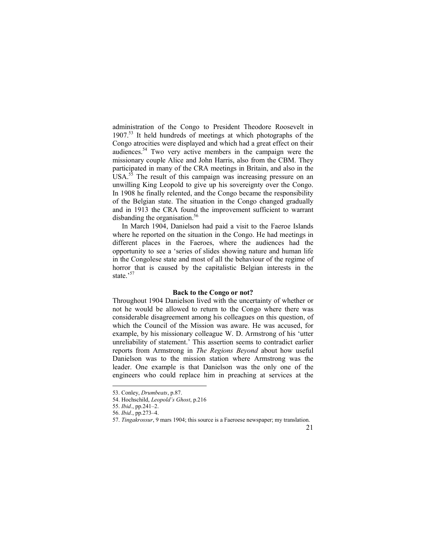administration of the Congo to President Theodore Roosevelt in  $1907<sup>53</sup>$  It held hundreds of meetings at which photographs of the Congo atrocities were displayed and which had a great effect on their audiences.<sup>54</sup> Two very active members in the campaign were the missionary couple Alice and John Harris, also from the CBM. They participated in many of the CRA meetings in Britain, and also in the USA.<sup>55</sup> The result of this campaign was increasing pressure on an unwilling King Leopold to give up his sovereignty over the Congo. In 1908 he finally relented, and the Congo became the responsibility of the Belgian state. The situation in the Congo changed gradually and in 1913 the CRA found the improvement sufficient to warrant disbanding the organisation.<sup>56</sup>

In March 1904, Danielson had paid a visit to the Faeroe Islands where he reported on the situation in the Congo. He had meetings in different places in the Faeroes, where the audiences had the opportunity to see a 'series of slides showing nature and human life in the Congolese state and most of all the behaviour of the regime of horror that is caused by the capitalistic Belgian interests in the state.'<sup>57</sup>

### **Back to the Congo or not?**

Throughout 1904 Danielson lived with the uncertainty of whether or not he would be allowed to return to the Congo where there was considerable disagreement among his colleagues on this question, of which the Council of the Mission was aware. He was accused, for example, by his missionary colleague W. D. Armstrong of his 'utter unreliability of statement.' This assertion seems to contradict earlier reports from Armstrong in *The Regions Beyond* about how useful Danielson was to the mission station where Armstrong was the leader. One example is that Danielson was the only one of the engineers who could replace him in preaching at services at the

 $\overline{a}$ 

## 21

<sup>53.</sup> Conley, *Drumbeats*, p.87.

<sup>54.</sup> Hochschild, *Leopold's Ghost*, p.216

<sup>55.</sup> *Ibid*., pp.241–2.

<sup>56.</sup> *Ibid*., pp.273–4.

<sup>57.</sup> *Tingakrossur*, 9 mars 1904; this source is a Faeroese newspaper; my translation.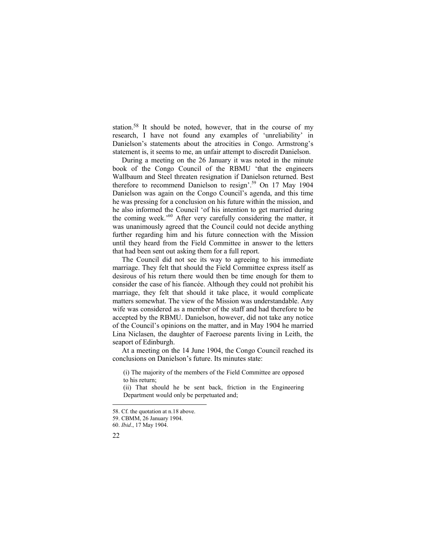station.<sup>58</sup> It should be noted, however, that in the course of my research, I have not found any examples of 'unreliability' in Danielson's statements about the atrocities in Congo. Armstrong's statement is, it seems to me, an unfair attempt to discredit Danielson.

During a meeting on the 26 January it was noted in the minute book of the Congo Council of the RBMU 'that the engineers Wallbaum and Steel threaten resignation if Danielson returned. Best therefore to recommend Danielson to resign'.<sup>59</sup> On 17 May 1904 Danielson was again on the Congo Council's agenda, and this time he was pressing for a conclusion on his future within the mission, and he also informed the Council 'of his intention to get married during the coming week.<sup>'60</sup> After very carefully considering the matter, it was unanimously agreed that the Council could not decide anything further regarding him and his future connection with the Mission until they heard from the Field Committee in answer to the letters that had been sent out asking them for a full report.

The Council did not see its way to agreeing to his immediate marriage. They felt that should the Field Committee express itself as desirous of his return there would then be time enough for them to consider the case of his fiancée. Although they could not prohibit his marriage, they felt that should it take place, it would complicate matters somewhat. The view of the Mission was understandable. Any wife was considered as a member of the staff and had therefore to be accepted by the RBMU. Danielson, however, did not take any notice of the Council's opinions on the matter, and in May 1904 he married Lina Niclasen, the daughter of Faeroese parents living in Leith, the seaport of Edinburgh.

At a meeting on the 14 June 1904, the Congo Council reached its conclusions on Danielson's future. Its minutes state:

(i) The majority of the members of the Field Committee are opposed to his return;

(ii) That should he be sent back, friction in the Engineering Department would only be perpetuated and;

<sup>60.</sup> *Ibid*., 17 May 1904.



<sup>58.</sup> Cf. the quotation at n.18 above.

<sup>59.</sup> CBMM, 26 January 1904.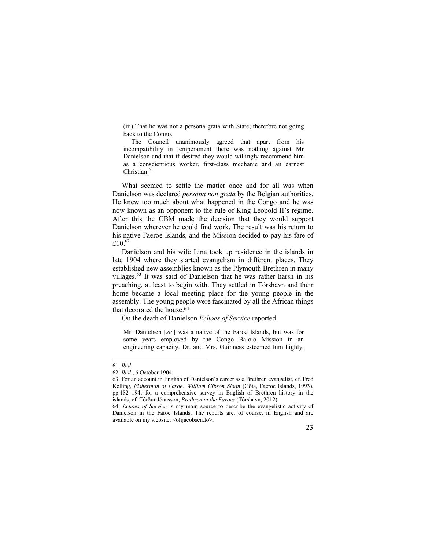(iii) That he was not a persona grata with State; therefore not going back to the Congo.

The Council unanimously agreed that apart from his incompatibility in temperament there was nothing against Mr Danielson and that if desired they would willingly recommend him as a conscientious worker, first-class mechanic and an earnest Christian. 61

What seemed to settle the matter once and for all was when Danielson was declared *persona non grata* by the Belgian authorities. He knew too much about what happened in the Congo and he was now known as an opponent to the rule of King Leopold II's regime. After this the CBM made the decision that they would support Danielson wherever he could find work. The result was his return to his native Faeroe Islands, and the Mission decided to pay his fare of £10. $62$ 

Danielson and his wife Lina took up residence in the islands in late 1904 where they started evangelism in different places. They established new assemblies known as the Plymouth Brethren in many villages.<sup>63</sup> It was said of Danielson that he was rather harsh in his preaching, at least to begin with. They settled in Tórshavn and their home became a local meeting place for the young people in the assembly. The young people were fascinated by all the African things that decorated the house.<sup>64</sup>

On the death of Danielson *Echoes of Service* reported:

Mr. Danielsen [*sic*] was a native of the Faroe Islands, but was for some years employed by the Congo Balolo Mission in an engineering capacity. Dr. and Mrs. Guinness esteemed him highly,

<sup>61.</sup> *Ibid*.

<sup>62.</sup> *Ibid*., 6 October 1904.

<sup>63.</sup> For an account in English of Danielson's career as a Brethren evangelist, cf. Fred Kelling, *Fisherman of Faroe: William Gibson Sloan* (Göta, Faeroe Islands, 1993), pp.182–194; for a comprehensive survey in English of Brethren history in the islands, cf. Tórður Jóansson, *Brethren in the Faroes* (Tórshavn, 2012).

<sup>64.</sup> *Echoes of Service* is my main source to describe the evangelistic activity of Danielson in the Faroe Islands. The reports are, of course, in English and are available on my website: <br/> <olijacobsen.fo>.

<sup>23</sup>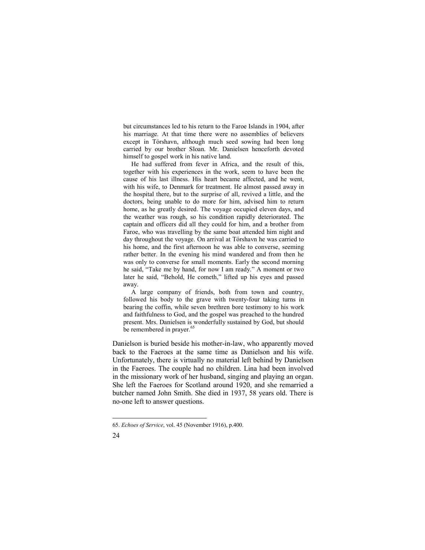but circumstances led to his return to the Faroe Islands in 1904, after his marriage. At that time there were no assemblies of believers except in Tórshavn, although much seed sowing had been long carried by our brother Sloan. Mr. Danielsen henceforth devoted himself to gospel work in his native land.

He had suffered from fever in Africa, and the result of this, together with his experiences in the work, seem to have been the cause of his last illness. His heart became affected, and he went, with his wife, to Denmark for treatment. He almost passed away in the hospital there, but to the surprise of all, revived a little, and the doctors, being unable to do more for him, advised him to return home, as he greatly desired. The voyage occupied eleven days, and the weather was rough, so his condition rapidly deteriorated. The captain and officers did all they could for him, and a brother from Faroe, who was travelling by the same boat attended him night and day throughout the voyage. On arrival at Tórshavn he was carried to his home, and the first afternoon he was able to converse, seeming rather better. In the evening his mind wandered and from then he was only to converse for small moments. Early the second morning he said, "Take me by hand, for now I am ready." A moment or two later he said, "Behold, He cometh," lifted up his eyes and passed away.

A large company of friends, both from town and country, followed his body to the grave with twenty-four taking turns in bearing the coffin, while seven brethren bore testimony to his work and faithfulness to God, and the gospel was preached to the hundred present. Mrs. Danielsen is wonderfully sustained by God, but should be remembered in prayer.<sup>65</sup>

Danielson is buried beside his mother-in-law, who apparently moved back to the Faeroes at the same time as Danielson and his wife. Unfortunately, there is virtually no material left behind by Danielson in the Faeroes. The couple had no children. Lina had been involved in the missionary work of her husband, singing and playing an organ. She left the Faeroes for Scotland around 1920, and she remarried a butcher named John Smith. She died in 1937, 58 years old. There is no-one left to answer questions.

<sup>65.</sup> *Echoes of Service*, vol. 45 (November 1916), p.400.

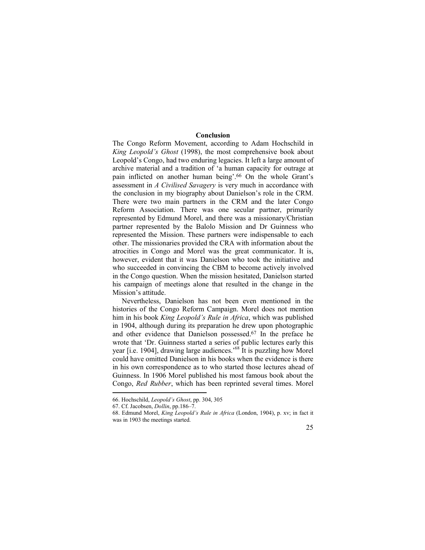# **Conclusion**

The Congo Reform Movement, according to Adam Hochschild in *King Leopold's Ghost* (1998), the most comprehensive book about Leopold's Congo, had two enduring legacies. It left a large amount of archive material and a tradition of 'a human capacity for outrage at pain inflicted on another human being'.<sup>66</sup> On the whole Grant's assessment in *A Civilised Savagery* is very much in accordance with the conclusion in my biography about Danielson's role in the CRM. There were two main partners in the CRM and the later Congo Reform Association. There was one secular partner, primarily represented by Edmund Morel, and there was a missionary/Christian partner represented by the Balolo Mission and Dr Guinness who represented the Mission. These partners were indispensable to each other. The missionaries provided the CRA with information about the atrocities in Congo and Morel was the great communicator. It is, however, evident that it was Danielson who took the initiative and who succeeded in convincing the CBM to become actively involved in the Congo question. When the mission hesitated, Danielson started his campaign of meetings alone that resulted in the change in the Mission's attitude.

Nevertheless, Danielson has not been even mentioned in the histories of the Congo Reform Campaign. Morel does not mention him in his book *King Leopold's Rule in Africa*, which was published in 1904, although during its preparation he drew upon photographic and other evidence that Danielson possessed.<sup>67</sup> In the preface he wrote that 'Dr. Guinness started a series of public lectures early this year [i.e. 1904], drawing large audiences.<sup>568</sup> It is puzzling how Morel could have omitted Danielson in his books when the evidence is there in his own correspondence as to who started those lectures ahead of Guinness. In 1906 Morel published his most famous book about the Congo, *Red Rubber*, which has been reprinted several times. Morel

<sup>68.</sup> Edmund Morel, *King Leopold's Rule in Africa* (London, 1904), p. xv; in fact it was in 1903 the meetings started.



<sup>66.</sup> Hochschild, *Leopold's Ghost*, pp. 304, 305

<sup>67.</sup> Cf. Jacobsen, *Dollin*, pp.186–7.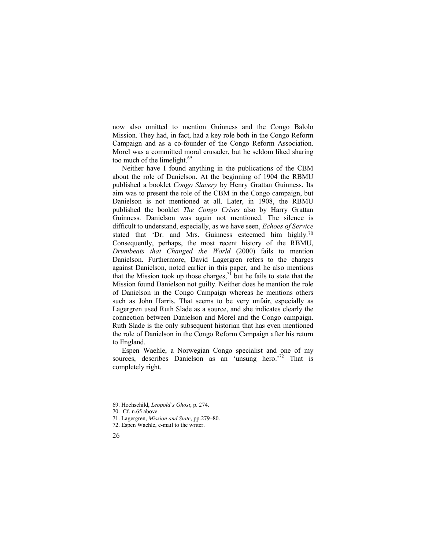now also omitted to mention Guinness and the Congo Balolo Mission. They had, in fact, had a key role both in the Congo Reform Campaign and as a co-founder of the Congo Reform Association. Morel was a committed moral crusader, but he seldom liked sharing too much of the limelight.<sup>69</sup>

Neither have I found anything in the publications of the CBM about the role of Danielson. At the beginning of 1904 the RBMU published a booklet *Congo Slavery* by Henry Grattan Guinness. Its aim was to present the role of the CBM in the Congo campaign, but Danielson is not mentioned at all. Later, in 1908, the RBMU published the booklet *The Congo Crises* also by Harry Grattan Guinness. Danielson was again not mentioned. The silence is difficult to understand, especially, as we have seen, *Echoes of Service* stated that 'Dr. and Mrs. Guinness esteemed him highly.<sup>70</sup> Consequently, perhaps, the most recent history of the RBMU, *Drumbeats that Changed the World* (2000) fails to mention Danielson. Furthermore, David Lagergren refers to the charges against Danielson, noted earlier in this paper, and he also mentions that the Mission took up those charges,  $\frac{7}{1}$  but he fails to state that the Mission found Danielson not guilty. Neither does he mention the role of Danielson in the Congo Campaign whereas he mentions others such as John Harris. That seems to be very unfair, especially as Lagergren used Ruth Slade as a source, and she indicates clearly the connection between Danielson and Morel and the Congo campaign. Ruth Slade is the only subsequent historian that has even mentioned the role of Danielson in the Congo Reform Campaign after his return to England.

Espen Waehle, a Norwegian Congo specialist and one of my sources, describes Danielson as an 'unsung hero.<sup>72</sup> That is completely right.

<sup>72.</sup> Espen Waehle, e-mail to the writer.



<sup>69.</sup> Hochschild, *Leopold's Ghost*, p. 274.

<sup>70.</sup> Cf. n.65 above.

<sup>71.</sup> Lagergren, *Mission and State*, pp.279–80.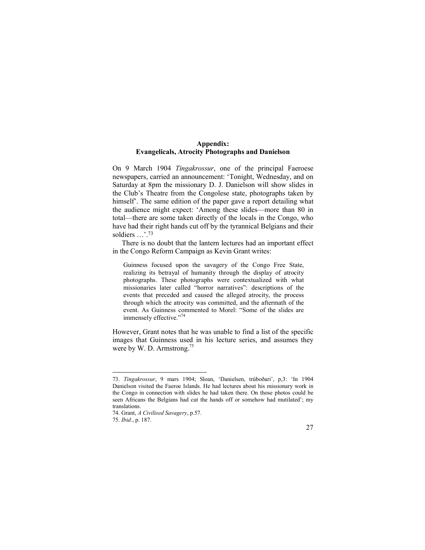# **Appendix: Evangelicals, Atrocity Photographs and Danielson**

On 9 March 1904 *Tingakrossur*, one of the principal Faeroese newspapers, carried an announcement: 'Tonight, Wednesday, and on Saturday at 8pm the missionary D. J. Danielson will show slides in the Club's Theatre from the Congolese state, photographs taken by himself<sup>2</sup>. The same edition of the paper gave a report detailing what the audience might expect: 'Among these slides—more than 80 in total—there are some taken directly of the locals in the Congo, who have had their right hands cut off by the tyrannical Belgians and their soldiers ...'.<sup>73</sup>

There is no doubt that the lantern lectures had an important effect in the Congo Reform Campaign as Kevin Grant writes:

Guinness focused upon the savagery of the Congo Free State, realizing its betrayal of humanity through the display of atrocity photographs. These photographs were contextualized with what missionaries later called "horror narratives": descriptions of the events that preceded and caused the alleged atrocity, the process through which the atrocity was committed, and the aftermath of the event. As Guinness commented to Morel: "Some of the slides are immensely effective."<sup>74</sup>

However, Grant notes that he was unable to find a list of the specific images that Guinness used in his lecture series, and assumes they were by W. D. Armstrong.<sup>75</sup>



<sup>73.</sup> *Tingakrossur*, 9 mars 1904; Sloan, 'Danielsen, trúboðari', p,3: 'In 1904 Danielson visited the Faeroe Islands. He had lectures about his missionary work in the Congo in connection with slides he had taken there. On those photos could be seen Africans the Belgians had cut the hands off or somehow had mutilated'; my translations.

<sup>74.</sup> Grant, *A Civilised Savagery*, p.57.

<sup>75.</sup> *Ibid*., p. 187.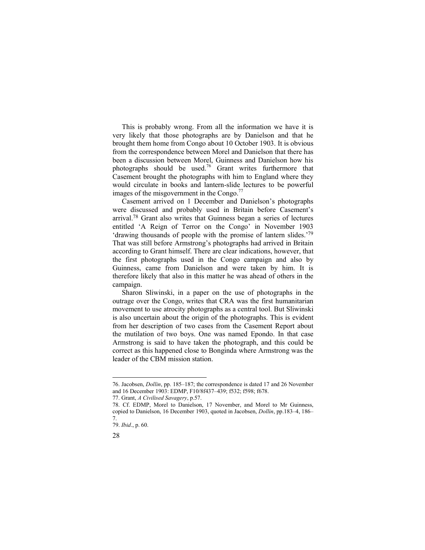This is probably wrong. From all the information we have it is very likely that those photographs are by Danielson and that he brought them home from Congo about 10 October 1903. It is obvious from the correspondence between Morel and Danielson that there has been a discussion between Morel, Guinness and Danielson how his photographs should be used.<sup>76</sup> Grant writes furthermore that Casement brought the photographs with him to England where they would circulate in books and lantern-slide lectures to be powerful images of the misgovernment in the Congo. $\frac{7}{7}$ 

Casement arrived on 1 December and Danielson's photographs were discussed and probably used in Britain before Casement's arrival.<sup>78</sup> Grant also writes that Guinness began a series of lectures entitled 'A Reign of Terror on the Congo' in November 1903 'drawing thousands of people with the promise of lantern slides.'<sup>79</sup> That was still before Armstrong's photographs had arrived in Britain according to Grant himself. There are clear indications, however, that the first photographs used in the Congo campaign and also by Guinness, came from Danielson and were taken by him. It is therefore likely that also in this matter he was ahead of others in the campaign.

Sharon Sliwinski, in a paper on the use of photographs in the outrage over the Congo, writes that CRA was the first humanitarian movement to use atrocity photographs as a central tool. But Sliwinski is also uncertain about the origin of the photographs. This is evident from her description of two cases from the Casement Report about the mutilation of two boys. One was named Epondo. In that case Armstrong is said to have taken the photograph, and this could be correct as this happened close to Bonginda where Armstrong was the leader of the CBM mission station.

77. Grant, *A Civilised Savagery*, p.57.

28

<sup>76.</sup> Jacobsen, *Dollin*, pp. 185–187; the correspondence is dated 17 and 26 November and 16 December 1903: EDMP, F10/8f437–439; f532; f598; f678.

<sup>78.</sup> Cf. EDMP, Morel to Danielson, 17 November, and Morel to Mr Guinness, copied to Danielson, 16 December 1903, quoted in Jacobsen, *Dollin*, pp.183–4, 186– 7.

<sup>79.</sup> *Ibid*., p. 60.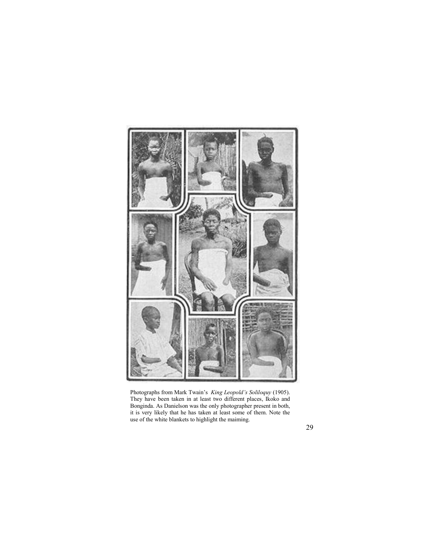

Photographs from Mark Twain's *King Leopold's Soliloquy* (1905). They have been taken in at least two different places, Ikoko and Bonginda. As Danielson was the only photographer present in both, it is very likely that he has taken at least some of them. Note the use of the white blankets to highlight the maiming.

29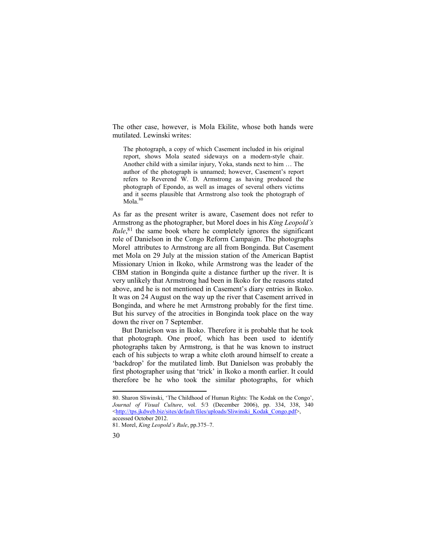The other case, however, is Mola Ekilite, whose both hands were mutilated. Lewinski writes:

The photograph, a copy of which Casement included in his original report, shows Mola seated sideways on a modern-style chair. Another child with a similar injury, Yoka, stands next to him … The author of the photograph is unnamed; however, Casement's report refers to Reverend W. D. Armstrong as having produced the photograph of Epondo, as well as images of several others victims and it seems plausible that Armstrong also took the photograph of Mola.80

As far as the present writer is aware, Casement does not refer to Armstrong as the photographer, but Morel does in his *King Leopold's Rule*,<sup>81</sup> the same book where he completely ignores the significant role of Danielson in the Congo Reform Campaign. The photographs Morel attributes to Armstrong are all from Bonginda. But Casement met Mola on 29 July at the mission station of the American Baptist Missionary Union in Ikoko, while Armstrong was the leader of the CBM station in Bonginda quite a distance further up the river. It is very unlikely that Armstrong had been in Ikoko for the reasons stated above, and he is not mentioned in Casement's diary entries in Ikoko. It was on 24 August on the way up the river that Casement arrived in Bonginda, and where he met Armstrong probably for the first time. But his survey of the atrocities in Bonginda took place on the way down the river on 7 September.

But Danielson was in Ikoko. Therefore it is probable that he took that photograph. One proof, which has been used to identify photographs taken by Armstrong, is that he was known to instruct each of his subjects to wrap a white cloth around himself to create a 'backdrop' for the mutilated limb. But Danielson was probably the first photographer using that 'trick' in Ikoko a month earlier. It could therefore be he who took the similar photographs, for which

<sup>81.</sup> Morel, *King Leopold's Rule*, pp.375–7.



<sup>80.</sup> Sharon Sliwinski, 'The Childhood of Human Rights: The Kodak on the Congo', *Journal of Visual Culture*, vol. 5/3 (December 2006), pp. 334, 338, 340 <[http://tps.jkdweb.biz/sites/default/files/uploads/Sliwinski\\_Kodak\\_Congo.pdf>](http://tps.jkdweb.biz/sites/default/files/uploads/Sliwinski_Kodak_Congo.pdf), accessed October 2012.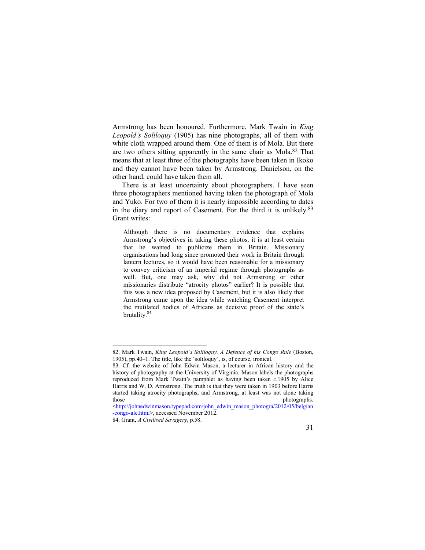Armstrong has been honoured. Furthermore, Mark Twain in *King Leopold's Soliloquy* (1905) has nine photographs, all of them with white cloth wrapped around them. One of them is of Mola. But there are two others sitting apparently in the same chair as Mola.<sup>82</sup> That means that at least three of the photographs have been taken in Ikoko and they cannot have been taken by Armstrong. Danielson, on the other hand, could have taken them all.

There is at least uncertainty about photographers. I have seen three photographers mentioned having taken the photograph of Mola and Yuko. For two of them it is nearly impossible according to dates in the diary and report of Casement. For the third it is unlikely.<sup>83</sup> Grant writes:

Although there is no documentary evidence that explains Armstrong's objectives in taking these photos, it is at least certain that he wanted to publicize them in Britain. Missionary organisations had long since promoted their work in Britain through lantern lectures, so it would have been reasonable for a missionary to convey criticism of an imperial regime through photographs as well. But, one may ask, why did not Armstrong or other missionaries distribute "atrocity photos" earlier? It is possible that this was a new idea proposed by Casement, but it is also likely that Armstrong came upon the idea while watching Casement interpret the mutilated bodies of Africans as decisive proof of the state's brutality. 84

<[http://johnedwinmason.typepad.com/john\\_edwin\\_mason\\_photogra/2012/05/belgian](http://johnedwinmason.typepad.com/john_edwin_mason_photogra/2012/05/belgian) -congo-ale.html>, accessed November 2012.



<sup>82.</sup> Mark Twain, *King Leopold's Soliloquy. A Defence of his Congo Rule* (Boston, 1905), pp.40–1. The title, like the 'soliloquy', is, of course, ironical.

<sup>83.</sup> Cf. the website of John Edwin Mason, a lecturer in African history and the history of photography at the University of Virginia. Mason labels the photographs reproduced from Mark Twain's pamphlet as having been taken *c*.1905 by Alice Harris and W. D. Armstrong. The truth is that they were taken in 1903 before Harris started taking atrocity photographs, and Armstrong, at least was not alone taking those photographs.

<sup>84.</sup> Grant, *A Civilised Savagery*, p.58.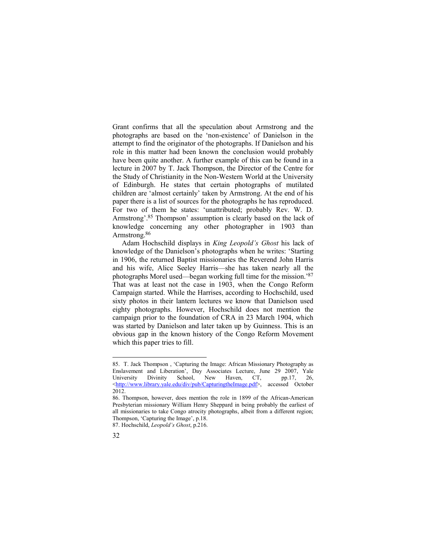Grant confirms that all the speculation about Armstrong and the photographs are based on the 'non-existence' of Danielson in the attempt to find the originator of the photographs. If Danielson and his role in this matter had been known the conclusion would probably have been quite another. A further example of this can be found in a lecture in 2007 by T. Jack Thompson, the Director of the Centre for the Study of Christianity in the Non-Western World at the University of Edinburgh. He states that certain photographs of mutilated children are 'almost certainly' taken by Armstrong. At the end of his paper there is a list of sources for the photographs he has reproduced. For two of them he states: 'unattributed; probably Rev. W. D. Armstrong'.<sup>85</sup> Thompson' assumption is clearly based on the lack of knowledge concerning any other photographer in 1903 than Armstrong.<sup>86</sup>

Adam Hochschild displays in *King Leopold's Ghost* his lack of knowledge of the Danielson's photographs when he writes: 'Starting in 1906, the returned Baptist missionaries the Reverend John Harris and his wife, Alice Seeley Harris—she has taken nearly all the photographs Morel used—began working full time for the mission.'<sup>87</sup> That was at least not the case in 1903, when the Congo Reform Campaign started. While the Harrises, according to Hochschild, used sixty photos in their lantern lectures we know that Danielson used eighty photographs. However, Hochschild does not mention the campaign prior to the foundation of CRA in 23 March 1904, which was started by Danielson and later taken up by Guinness. This is an obvious gap in the known history of the Congo Reform Movement which this paper tries to fill.

<sup>87.</sup> Hochschild, *Leopold's Ghost*, p.216.



<sup>85.</sup> T. Jack Thompson , 'Capturing the Image: African Missionary Photography as Enslavement and Liberation', Day Associates Lecture, June 29 2007, Yale University Divinity School, New Haven, CT, pp.17, 26, University Divinity School, New Haven, CT, pp.17, 26, <[http://www.library.yale.edu/div/pub/CapturingtheImage.pdf>](http://www.library.yale.edu/div/pub/CapturingtheImage.pdf), accessed October 2012.

<sup>86.</sup> Thompson, however, does mention the role in 1899 of the African-American Presbyterian missionary William Henry Sheppard in being probably the earliest of all missionaries to take Congo atrocity photographs, albeit from a different region; Thompson, 'Capturing the Image', p.18.